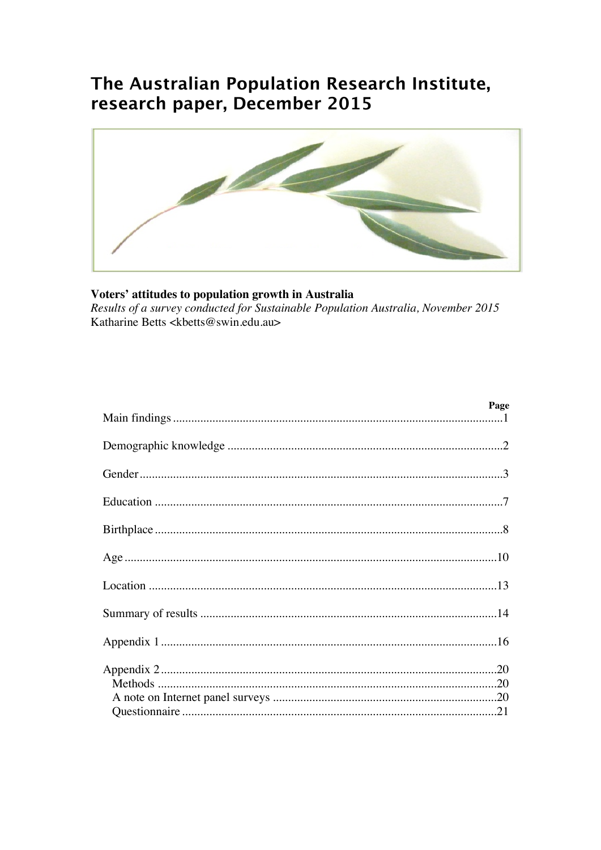# The Australian Population Research Institute, research paper, December 2015



# Voters' attitudes to population growth in Australia

Results of a survey conducted for Sustainable Population Australia, November 2015 Katharine Betts <kbetts@swin.edu.au>

| Page |
|------|
|      |
|      |
|      |
|      |
|      |
|      |
|      |
|      |
|      |
|      |
|      |
|      |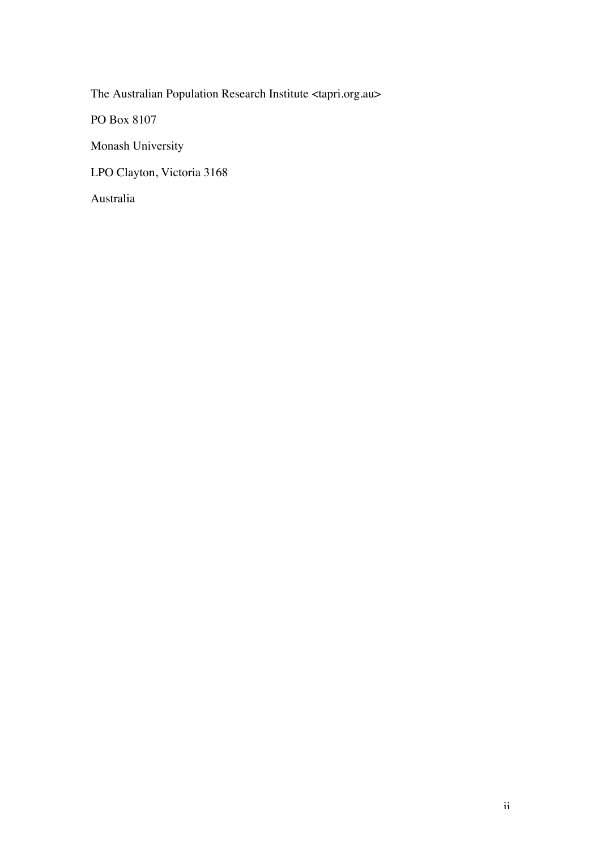The Australian Population Research Institute <tapri.org.au>

PO Box 8107

Monash University

LPO Clayton, Victoria 3168

Australia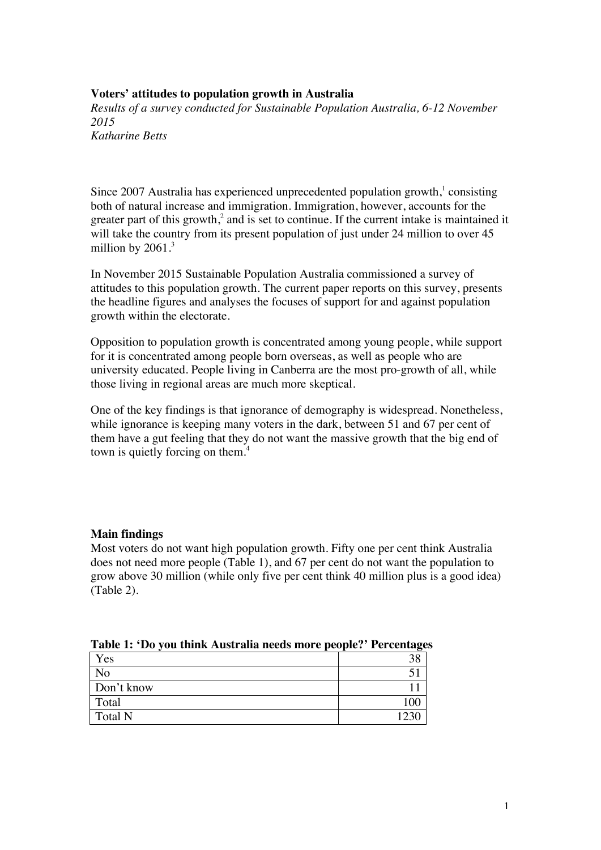# **Voters' attitudes to population growth in Australia**

*Results of a survey conducted for Sustainable Population Australia, 6-12 November 2015 Katharine Betts*

Since 2007 Australia has experienced unprecedented population growth,<sup>1</sup> consisting both of natural increase and immigration. Immigration, however, accounts for the greater part of this growth, $2$  and is set to continue. If the current intake is maintained it will take the country from its present population of just under 24 million to over 45 million by  $2061$ .<sup>3</sup>

In November 2015 Sustainable Population Australia commissioned a survey of attitudes to this population growth. The current paper reports on this survey, presents the headline figures and analyses the focuses of support for and against population growth within the electorate.

Opposition to population growth is concentrated among young people, while support for it is concentrated among people born overseas, as well as people who are university educated. People living in Canberra are the most pro-growth of all, while those living in regional areas are much more skeptical.

One of the key findings is that ignorance of demography is widespread. Nonetheless, while ignorance is keeping many voters in the dark, between 51 and 67 per cent of them have a gut feeling that they do not want the massive growth that the big end of town is quietly forcing on them.<sup>4</sup>

## **Main findings**

Most voters do not want high population growth. Fifty one per cent think Australia does not need more people (Table 1), and 67 per cent do not want the population to grow above 30 million (while only five per cent think 40 million plus is a good idea) (Table 2).

|                | $\ldots$ |
|----------------|----------|
| Yes            |          |
| N <sub>o</sub> |          |
| Don't know     |          |
| Total          | 100      |
| <b>Total N</b> | 1220     |

**Table 1: 'Do you think Australia needs more people?' Percentages**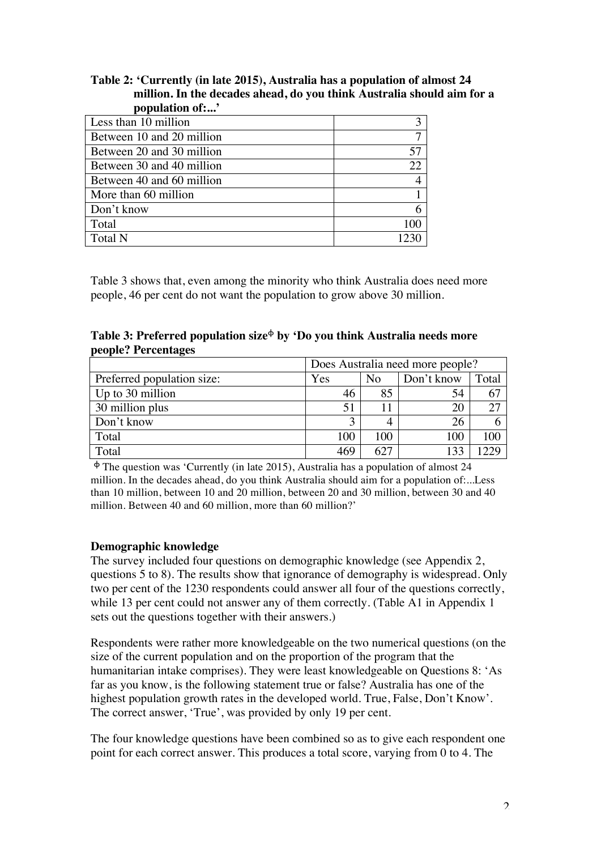# **Table 2: 'Currently (in late 2015), Australia has a population of almost 24 million. In the decades ahead, do you think Australia should aim for a population of:...'**

| Less than 10 million      |                |
|---------------------------|----------------|
| Between 10 and 20 million |                |
| Between 20 and 30 million | 57             |
| Between 30 and 40 million | 22.            |
| Between 40 and 60 million | $\overline{4}$ |
| More than 60 million      |                |
| Don't know                | 6              |
| Total                     | 100            |
| <b>Total N</b>            |                |

Table 3 shows that, even among the minority who think Australia does need more people, 46 per cent do not want the population to grow above 30 million.

**Table 3: Preferred population size**<sup>ϕ</sup> **by 'Do you think Australia needs more people? Percentages**

|                            | Does Australia need more people? |                |            |       |
|----------------------------|----------------------------------|----------------|------------|-------|
| Preferred population size: | Yes                              | N <sub>0</sub> | Don't know | Total |
| Up to 30 million           | 46                               | 85             | 54         | 67    |
| 30 million plus            | 51                               |                | 20         | 27    |
| Don't know                 |                                  |                | 26         |       |
| Total                      | 100                              | 100            | 100        | 100   |
| Total                      | 469                              | 627            |            | າາເ   |

 $\Phi$  The question was 'Currently (in late 2015), Australia has a population of almost 24 million. In the decades ahead, do you think Australia should aim for a population of:...Less than 10 million, between 10 and 20 million, between 20 and 30 million, between 30 and 40 million. Between 40 and 60 million, more than 60 million?

## **Demographic knowledge**

The survey included four questions on demographic knowledge (see Appendix 2, questions 5 to 8). The results show that ignorance of demography is widespread. Only two per cent of the 1230 respondents could answer all four of the questions correctly, while 13 per cent could not answer any of them correctly. (Table A1 in Appendix 1) sets out the questions together with their answers.)

Respondents were rather more knowledgeable on the two numerical questions (on the size of the current population and on the proportion of the program that the humanitarian intake comprises). They were least knowledgeable on Questions 8: 'As far as you know, is the following statement true or false? Australia has one of the highest population growth rates in the developed world. True, False, Don't Know'. The correct answer, 'True', was provided by only 19 per cent.

The four knowledge questions have been combined so as to give each respondent one point for each correct answer. This produces a total score, varying from 0 to 4. The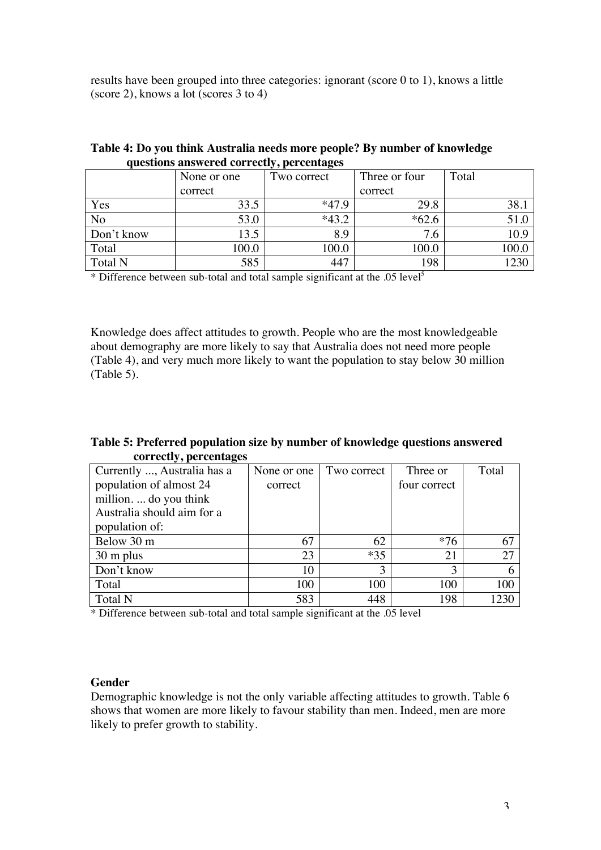results have been grouped into three categories: ignorant (score 0 to 1), knows a little (score 2), knows a lot (scores 3 to 4)

| $\overline{\phantom{a}}$ | None or one | Two correct | Three or four | Total |
|--------------------------|-------------|-------------|---------------|-------|
|                          | correct     |             | correct       |       |
| Yes                      | 33.5        | $*47.9$     | 29.8          | 38.1  |
| No                       | 53.0        | $*43.2$     | $*62.6$       |       |
| Don't know               | 13.5        | 8.9         | 7.6           | 10.9  |
| Total                    | 100.0       | 100.0       | 100.0         | 100.0 |
| <b>Total N</b>           | 585         | 447         | 198           | 1720  |

#### **Table 4: Do you think Australia needs more people? By number of knowledge questions answered correctly, percentages**

\* Difference between sub-total and total sample significant at the .05 level5

Knowledge does affect attitudes to growth. People who are the most knowledgeable about demography are more likely to say that Australia does not need more people (Table 4), and very much more likely to want the population to stay below 30 million (Table 5).

## **Table 5: Preferred population size by number of knowledge questions answered correctly, percentages**

| Currently , Australia has a | None or one | Two correct | Three or     | Total |
|-----------------------------|-------------|-------------|--------------|-------|
| population of almost 24     | correct     |             | four correct |       |
| million do you think        |             |             |              |       |
| Australia should aim for a  |             |             |              |       |
| population of:              |             |             |              |       |
| Below 30 m                  | 67          | 62          | $*76$        | 67    |
| $30 \text{ m}$ plus         | 23          | $*35$       | 21           | 27    |
| Don't know                  | 10          | 3           | 3            |       |
| Total                       | 100         | 100         | 100          | 100   |
| <b>Total N</b>              | 583         | 448         | 198          | 1230  |

\* Difference between sub-total and total sample significant at the .05 level

#### **Gender**

Demographic knowledge is not the only variable affecting attitudes to growth. Table 6 shows that women are more likely to favour stability than men. Indeed, men are more likely to prefer growth to stability.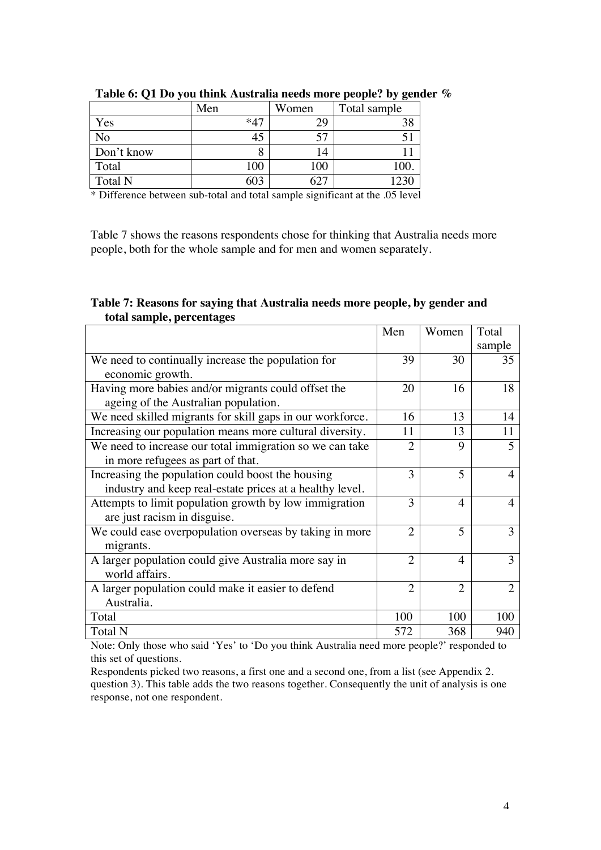|                | Men   | Women | Total sample |
|----------------|-------|-------|--------------|
| Yes            | $*47$ | 29    | 38           |
| No             | 45    | 57    |              |
| Don't know     |       |       |              |
| Total          | 100   | 100   | 100.         |
| <b>Total N</b> | 603   | 62    | 1230         |

**Table 6: Q1 Do you think Australia needs more people? by gender %**

\* Difference between sub-total and total sample significant at the .05 level

Table 7 shows the reasons respondents chose for thinking that Australia needs more people, both for the whole sample and for men and women separately.

## **Table 7: Reasons for saying that Australia needs more people, by gender and total sample, percentages**

|                                                           | Men            | Women          | Total                       |
|-----------------------------------------------------------|----------------|----------------|-----------------------------|
|                                                           |                |                | sample                      |
| We need to continually increase the population for        | 39             | 30             | 35                          |
| economic growth.                                          |                |                |                             |
| Having more babies and/or migrants could offset the       | 20             | 16             | 18                          |
| ageing of the Australian population.                      |                |                |                             |
| We need skilled migrants for skill gaps in our workforce. | 16             | 13             | 14                          |
| Increasing our population means more cultural diversity.  | 11             | 13             | 11                          |
| We need to increase our total immigration so we can take  | $\overline{2}$ | 9              | 5                           |
| in more refugees as part of that.                         |                |                |                             |
| Increasing the population could boost the housing         | 3              | 5              |                             |
| industry and keep real-estate prices at a healthy level.  |                |                |                             |
| Attempts to limit population growth by low immigration    | 3              | $\overline{4}$ | 4                           |
| are just racism in disguise.                              |                |                |                             |
| We could ease overpopulation overseas by taking in more   | $\overline{2}$ | 5              | 3                           |
| migrants.                                                 |                |                |                             |
| A larger population could give Australia more say in      | $\overline{2}$ | $\overline{4}$ | 3                           |
| world affairs.                                            |                |                |                             |
| A larger population could make it easier to defend        | $\overline{2}$ | $\overline{2}$ | $\mathcal{D}_{\mathcal{A}}$ |
| Australia.                                                |                |                |                             |
| Total                                                     | 100            | 100            | 100                         |
| <b>Total N</b>                                            | 572            | 368            | 940                         |

Note: Only those who said 'Yes' to 'Do you think Australia need more people?' responded to this set of questions.

Respondents picked two reasons, a first one and a second one, from a list (see Appendix 2. question 3). This table adds the two reasons together. Consequently the unit of analysis is one response, not one respondent.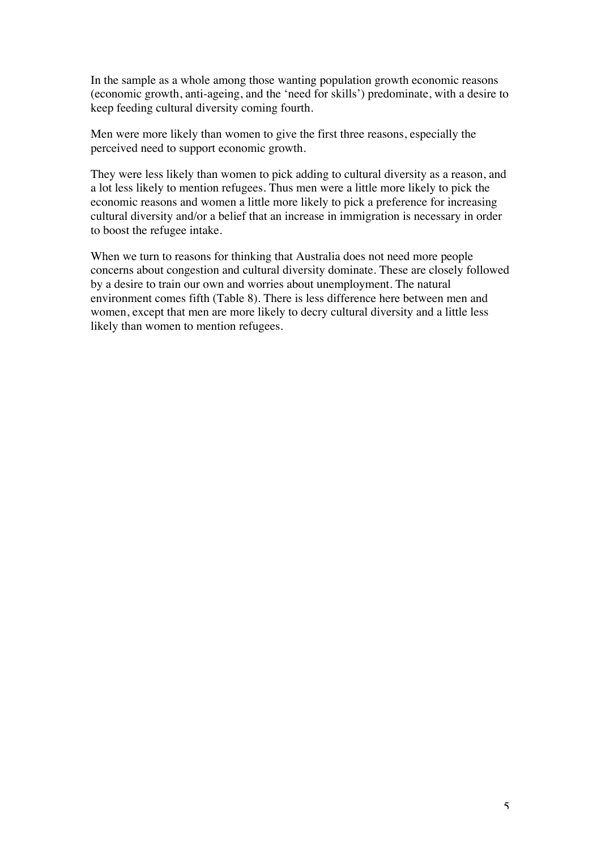In the sample as a whole among those wanting population growth economic reasons (economic growth, anti-ageing, and the 'need for skills') predominate, with a desire to keep feeding cultural diversity coming fourth.

Men were more likely than women to give the first three reasons, especially the perceived need to support economic growth.

They were less likely than women to pick adding to cultural diversity as a reason, and a lot less likely to mention refugees. Thus men were a little more likely to pick the economic reasons and women a little more likely to pick a preference for increasing cultural diversity and/or a belief that an increase in immigration is necessary in order to boost the refugee intake.

When we turn to reasons for thinking that Australia does not need more people concerns about congestion and cultural diversity dominate. These are closely followed by a desire to train our own and worries about unemployment. The natural environment comes fifth (Table 8). There is less difference here between men and women, except that men are more likely to decry cultural diversity and a little less likely than women to mention refugees.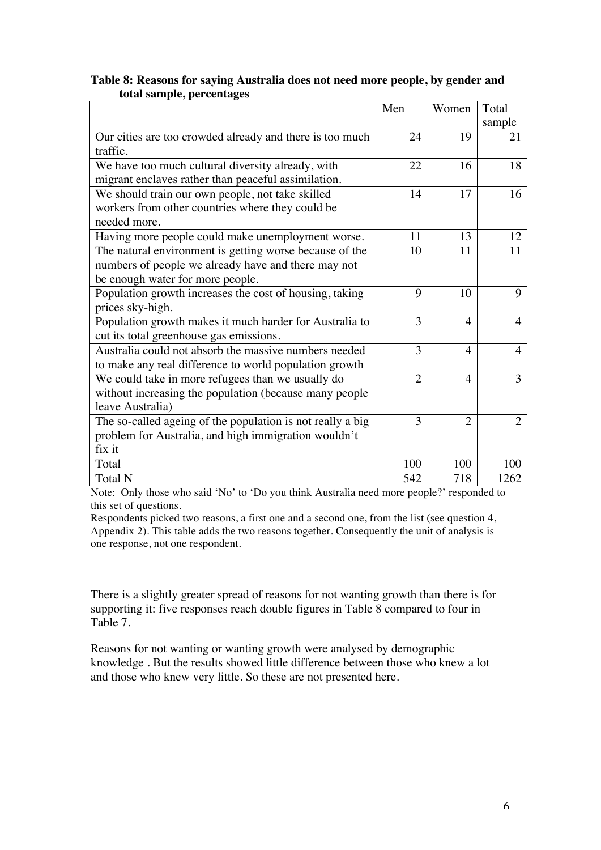# **Table 8: Reasons for saying Australia does not need more people, by gender and total sample, percentages**

|                                                            | Men            | Women                    | Total          |
|------------------------------------------------------------|----------------|--------------------------|----------------|
|                                                            |                |                          | sample         |
| Our cities are too crowded already and there is too much   | 24             | 19                       | 21             |
| traffic.                                                   |                |                          |                |
| We have too much cultural diversity already, with          | 22             | 16                       | 18             |
| migrant enclaves rather than peaceful assimilation.        |                |                          |                |
| We should train our own people, not take skilled           | 14             | 17                       | 16             |
| workers from other countries where they could be           |                |                          |                |
| needed more.                                               |                |                          |                |
| Having more people could make unemployment worse.          | 11             | 13                       | 12             |
| The natural environment is getting worse because of the    | 10             | 11                       | 11             |
| numbers of people we already have and there may not        |                |                          |                |
| be enough water for more people.                           |                |                          |                |
| Population growth increases the cost of housing, taking    | 9              | 10                       | 9              |
| prices sky-high.                                           |                |                          |                |
| Population growth makes it much harder for Australia to    | 3              | $\overline{\mathcal{A}}$ | 4              |
| cut its total greenhouse gas emissions.                    |                |                          |                |
| Australia could not absorb the massive numbers needed      | 3              | $\overline{4}$           | 4              |
| to make any real difference to world population growth     |                |                          |                |
| We could take in more refugees than we usually do          | $\overline{2}$ | $\overline{4}$           | 3              |
| without increasing the population (because many people     |                |                          |                |
| leave Australia)                                           |                |                          |                |
| The so-called ageing of the population is not really a big | 3              | $\overline{2}$           | $\overline{2}$ |
| problem for Australia, and high immigration wouldn't       |                |                          |                |
| fix it                                                     |                |                          |                |
| Total                                                      | 100            | 100                      | 100            |
| <b>Total N</b>                                             | 542            | 718                      | 1262           |

Note: Only those who said 'No' to 'Do you think Australia need more people?' responded to this set of questions.

Respondents picked two reasons, a first one and a second one, from the list (see question 4, Appendix 2). This table adds the two reasons together. Consequently the unit of analysis is one response, not one respondent.

There is a slightly greater spread of reasons for not wanting growth than there is for supporting it: five responses reach double figures in Table 8 compared to four in Table 7.

Reasons for not wanting or wanting growth were analysed by demographic knowledge . But the results showed little difference between those who knew a lot and those who knew very little. So these are not presented here.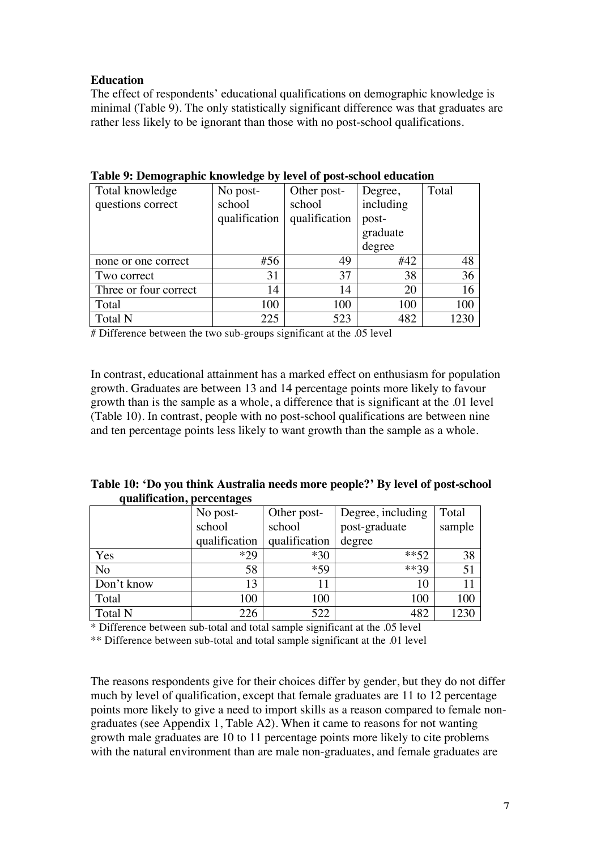# **Education**

The effect of respondents' educational qualifications on demographic knowledge is minimal (Table 9). The only statistically significant difference was that graduates are rather less likely to be ignorant than those with no post-school qualifications.

| Total knowledge       | No post-      | Other post-   | Degree,   | Total |
|-----------------------|---------------|---------------|-----------|-------|
| questions correct     | school        | school        | including |       |
|                       | qualification | qualification | post-     |       |
|                       |               |               | graduate  |       |
|                       |               |               | degree    |       |
| none or one correct   | #56           | 49            | #42       | 48    |
| Two correct           | 31            | 37            | 38        | 36    |
| Three or four correct | 14            | 14            | 20        | 16    |
| Total                 | 100           | 100           | 100       | 100   |
| Total N               | 225           | 523           | 482       | 1230  |

#### **Table 9: Demographic knowledge by level of post-school education**

# Difference between the two sub-groups significant at the .05 level

In contrast, educational attainment has a marked effect on enthusiasm for population growth. Graduates are between 13 and 14 percentage points more likely to favour growth than is the sample as a whole, a difference that is significant at the .01 level (Table 10). In contrast, people with no post-school qualifications are between nine and ten percentage points less likely to want growth than the sample as a whole.

| Table 10: 'Do you think Australia needs more people?' By level of post-school |  |
|-------------------------------------------------------------------------------|--|
| qualification, percentages                                                    |  |

|                | No post-      | Other post-   | Degree, including | Total  |
|----------------|---------------|---------------|-------------------|--------|
|                | school        | school        | post-graduate     | sample |
|                | qualification | qualification | degree            |        |
| Yes            | $*29$         | $*30$         | $***52$           | 38     |
| No             | 58            | *59           | $***39$           | 51     |
| Don't know     | 13            | 11            | 10                |        |
| Total          | 100           | 100           | 100               | 100    |
| <b>Total N</b> | 226           | 522           | 482               | 1230   |

\* Difference between sub-total and total sample significant at the .05 level

\*\* Difference between sub-total and total sample significant at the .01 level

The reasons respondents give for their choices differ by gender, but they do not differ much by level of qualification, except that female graduates are 11 to 12 percentage points more likely to give a need to import skills as a reason compared to female nongraduates (see Appendix 1, Table A2). When it came to reasons for not wanting growth male graduates are 10 to 11 percentage points more likely to cite problems with the natural environment than are male non-graduates, and female graduates are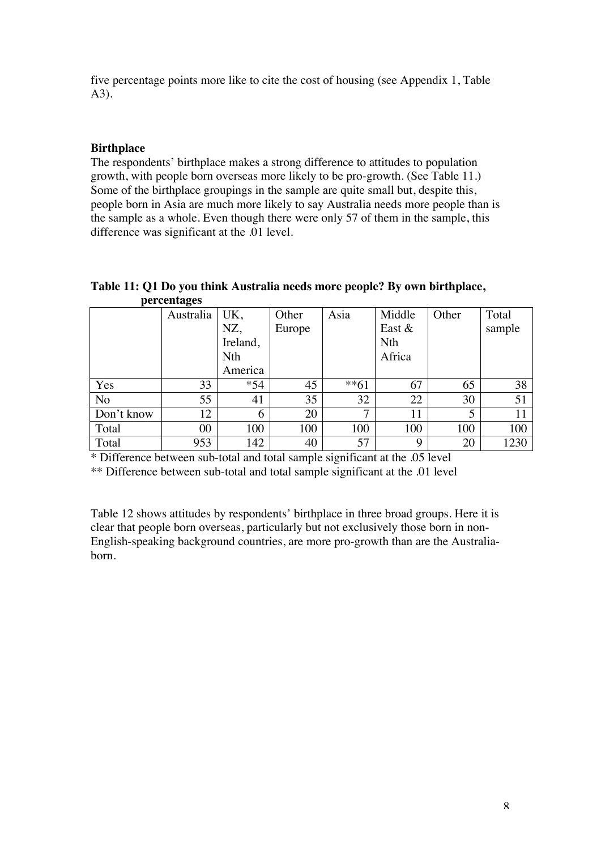five percentage points more like to cite the cost of housing (see Appendix 1, Table A3).

# **Birthplace**

The respondents' birthplace makes a strong difference to attitudes to population growth, with people born overseas more likely to be pro-growth. (See Table 11.) Some of the birthplace groupings in the sample are quite small but, despite this, people born in Asia are much more likely to say Australia needs more people than is the sample as a whole. Even though there were only 57 of them in the sample, this difference was significant at the .01 level.

#### **Table 11: Q1 Do you think Australia needs more people? By own birthplace, percentages**

|                | Australia | UK,      | Other  | Asia         | Middle     | Other | Total  |
|----------------|-----------|----------|--------|--------------|------------|-------|--------|
|                |           | NZ,      | Europe |              | East $&$   |       | sample |
|                |           | Ireland, |        |              | <b>Nth</b> |       |        |
|                |           | Nth      |        |              | Africa     |       |        |
|                |           | America  |        |              |            |       |        |
| Yes            | 33        | $*54$    | 45     | $**61$       | 67         | 65    | 38     |
| N <sub>o</sub> | 55        | 41       | 35     | 32           | 22         | 30    | 51     |
| Don't know     | 12        | 6        | 20     | $\mathbf{z}$ | 11         | 5     |        |
| Total          | $00\,$    | 100      | 100    | 100          | 100        | 100   | 100    |
| Total          | 953       | 142      | 40     | 57           | 9          | 20    | 1230   |

\* Difference between sub-total and total sample significant at the .05 level

\*\* Difference between sub-total and total sample significant at the .01 level

Table 12 shows attitudes by respondents' birthplace in three broad groups. Here it is clear that people born overseas, particularly but not exclusively those born in non-English-speaking background countries, are more pro-growth than are the Australiaborn.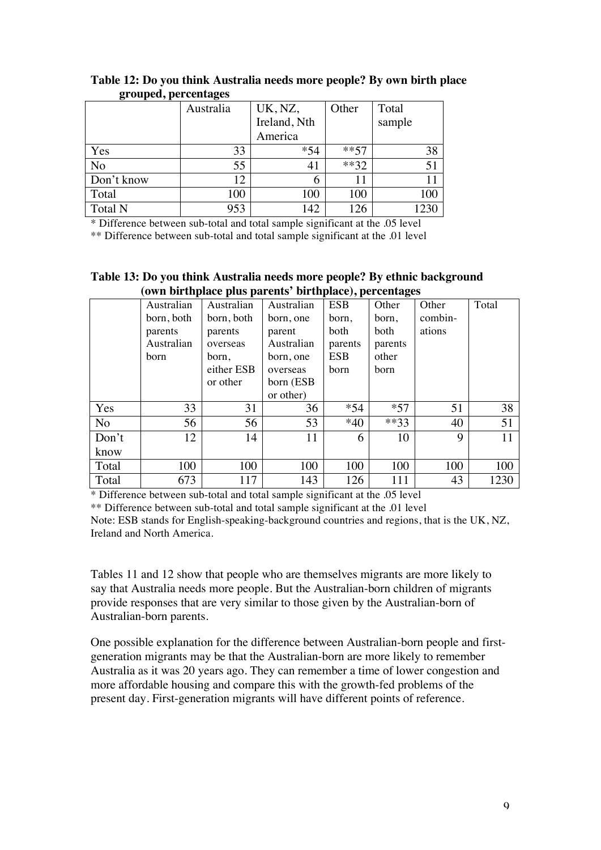| o<br>$\sim$ 1. | $\epsilon$ |              |         |        |
|----------------|------------|--------------|---------|--------|
|                | Australia  | UK, NZ,      | Other   | Total  |
|                |            | Ireland, Nth |         | sample |
|                |            | America      |         |        |
| Yes            | 33         | $*54$        | $***57$ | 38     |
| No             | 55         | 41           | $***32$ | 51     |
| Don't know     | 12         | 6            |         |        |
| Total          | 100        | 100          | 100     |        |
| <b>Total N</b> | 953        | 142          | 126     | 1230   |

**Table 12: Do you think Australia needs more people? By own birth place grouped, percentages**

\* Difference between sub-total and total sample significant at the .05 level

\*\* Difference between sub-total and total sample significant at the .01 level

| $(0$ wn difundace plus parents "birthplace), percentages |            |            |            |            |         |         |       |
|----------------------------------------------------------|------------|------------|------------|------------|---------|---------|-------|
|                                                          | Australian | Australian | Australian | <b>ESB</b> | Other   | Other   | Total |
|                                                          | born, both | born, both | born, one  | born,      | born,   | combin- |       |
|                                                          | parents    | parents    | parent     | both       | both    | ations  |       |
|                                                          | Australian | overseas   | Australian | parents    | parents |         |       |
|                                                          | born       | born,      | born, one  | <b>ESB</b> | other   |         |       |
|                                                          |            | either ESB | overseas   | born       | born    |         |       |
|                                                          |            | or other   | born (ESB  |            |         |         |       |
|                                                          |            |            | or other)  |            |         |         |       |
| Yes                                                      | 33         | 31         | 36         | $*54$      | $*57$   | 51      | 38    |
| No                                                       | 56         | 56         | 53         | $*40$      | $**33$  | 40      | 51    |
| Don't                                                    | 12         | 14         | 11         | 6          | 10      | 9       | 11    |
| know                                                     |            |            |            |            |         |         |       |
| Total                                                    | 100        | 100        | 100        | 100        | 100     | 100     | 100   |
| Total                                                    | 673        | 117        | 143        | 126        | 111     | 43      | 1230  |

**Table 13: Do you think Australia needs more people? By ethnic background (own birthplace plus parents' birthplace), percentages**

\* Difference between sub-total and total sample significant at the .05 level \*\* Difference between sub-total and total sample significant at the .01 level

Note: ESB stands for English-speaking-background countries and regions, that is the UK, NZ, Ireland and North America.

Tables 11 and 12 show that people who are themselves migrants are more likely to say that Australia needs more people. But the Australian-born children of migrants provide responses that are very similar to those given by the Australian-born of Australian-born parents.

One possible explanation for the difference between Australian-born people and firstgeneration migrants may be that the Australian-born are more likely to remember Australia as it was 20 years ago. They can remember a time of lower congestion and more affordable housing and compare this with the growth-fed problems of the present day. First-generation migrants will have different points of reference.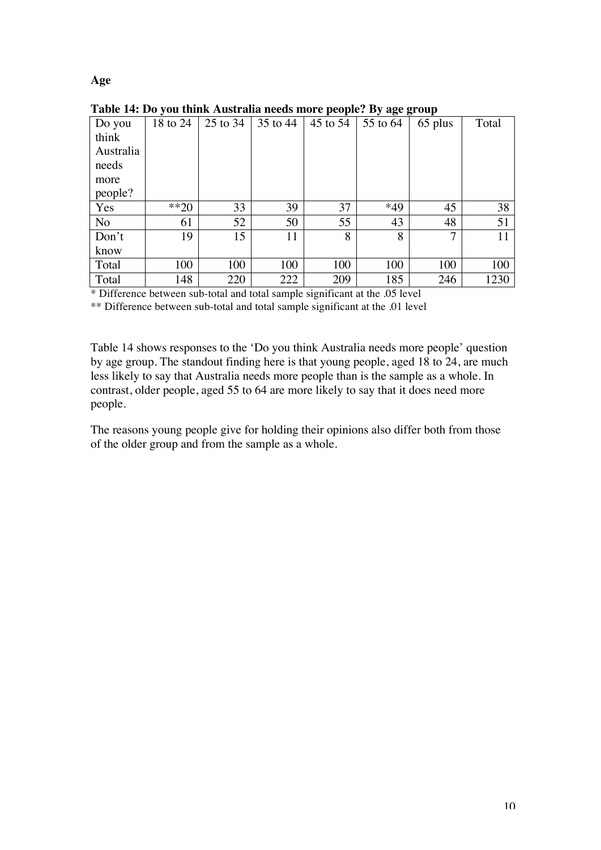# **Age**

|                |          |          |          | .        | $-7.999$ |         |       |
|----------------|----------|----------|----------|----------|----------|---------|-------|
| Do you         | 18 to 24 | 25 to 34 | 35 to 44 | 45 to 54 | 55 to 64 | 65 plus | Total |
| think          |          |          |          |          |          |         |       |
| Australia      |          |          |          |          |          |         |       |
| needs          |          |          |          |          |          |         |       |
| more           |          |          |          |          |          |         |       |
| people?        |          |          |          |          |          |         |       |
| Yes            | $**20$   | 33       | 39       | 37       | *49      | 45      | 38    |
| N <sub>o</sub> | 61       | 52       | 50       | 55       | 43       | 48      | 51    |
| Don't          | 19       | 15       | 11       | 8        | 8        | 7       | 11    |
| know           |          |          |          |          |          |         |       |
| Total          | 100      | 100      | 100      | 100      | 100      | 100     | 100   |
| Total          | 148      | 220      | 222      | 209      | 185      | 246     | 1230  |

**Table 14: Do you think Australia needs more people? By age group**

\* Difference between sub-total and total sample significant at the .05 level

\*\* Difference between sub-total and total sample significant at the .01 level

Table 14 shows responses to the 'Do you think Australia needs more people' question by age group. The standout finding here is that young people, aged 18 to 24, are much less likely to say that Australia needs more people than is the sample as a whole. In contrast, older people, aged 55 to 64 are more likely to say that it does need more people.

The reasons young people give for holding their opinions also differ both from those of the older group and from the sample as a whole.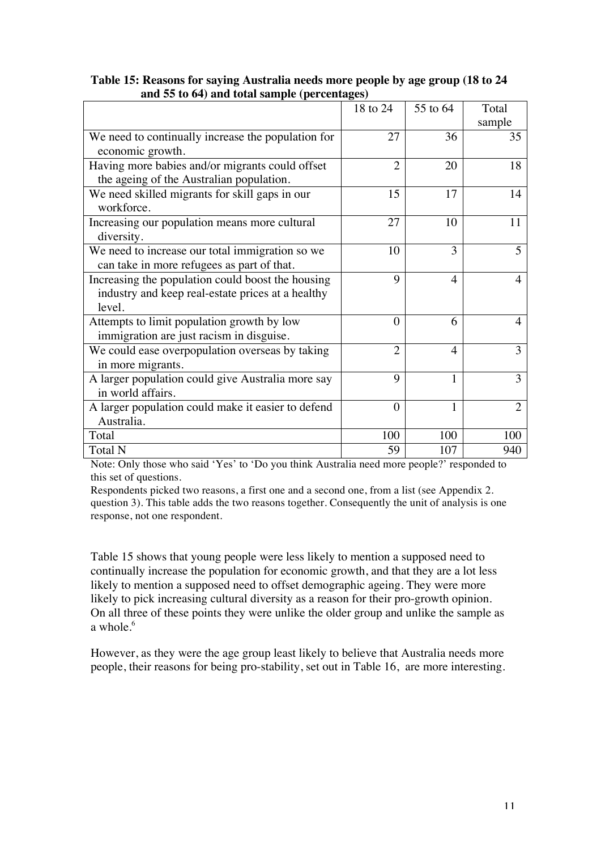| $\alpha$ co $\alpha$ , and total sample (per centage | 18 to 24       | 55 to 64       | Total          |
|------------------------------------------------------|----------------|----------------|----------------|
|                                                      |                |                | sample         |
| We need to continually increase the population for   | 27             | 36             | 35             |
| economic growth.                                     |                |                |                |
| Having more babies and/or migrants could offset      | $\overline{2}$ | 20             | 18             |
| the ageing of the Australian population.             |                |                |                |
| We need skilled migrants for skill gaps in our       | 15             | 17             | 14             |
| workforce.                                           |                |                |                |
| Increasing our population means more cultural        | 27             | 10             | 11             |
| diversity.                                           |                |                |                |
| We need to increase our total immigration so we      | 10             | 3              | 5              |
| can take in more refugees as part of that.           |                |                |                |
| Increasing the population could boost the housing    | 9              | $\overline{4}$ | 4              |
| industry and keep real-estate prices at a healthy    |                |                |                |
| level.                                               |                |                |                |
| Attempts to limit population growth by low           | $\Omega$       | 6              | 4              |
| immigration are just racism in disguise.             |                |                |                |
| We could ease overpopulation overseas by taking      | $\overline{2}$ | 4              | 3              |
| in more migrants.                                    |                |                |                |
| A larger population could give Australia more say    | 9              | 1              | 3              |
| in world affairs.                                    |                |                |                |
| A larger population could make it easier to defend   | $\Omega$       | 1              | $\mathfrak{D}$ |
| Australia.                                           |                |                |                |
| Total                                                | 100            | 100            | 100            |
| Total N                                              | 59             | 107            | 940            |

# **Table 15: Reasons for saying Australia needs more people by age group (18 to 24 and 55 to 64) and total sample (percentages)**

Note: Only those who said 'Yes' to 'Do you think Australia need more people?' responded to this set of questions.

Respondents picked two reasons, a first one and a second one, from a list (see Appendix 2. question 3). This table adds the two reasons together. Consequently the unit of analysis is one response, not one respondent.

Table 15 shows that young people were less likely to mention a supposed need to continually increase the population for economic growth, and that they are a lot less likely to mention a supposed need to offset demographic ageing. They were more likely to pick increasing cultural diversity as a reason for their pro-growth opinion. On all three of these points they were unlike the older group and unlike the sample as a whole  $^6$ 

However, as they were the age group least likely to believe that Australia needs more people, their reasons for being pro-stability, set out in Table 16, are more interesting.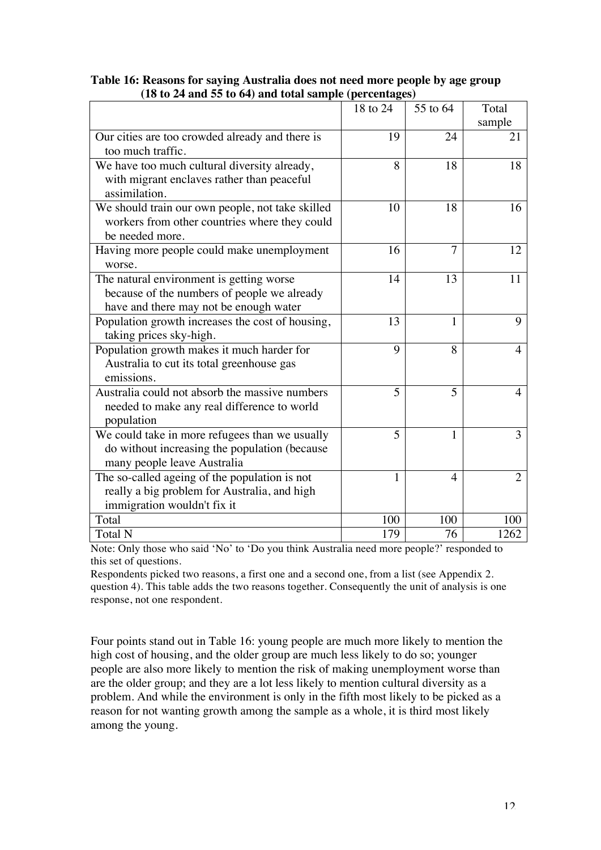| 10 to 24 and 33 to 04) and total sample (per centages) |          |                |                |
|--------------------------------------------------------|----------|----------------|----------------|
|                                                        | 18 to 24 | 55 to 64       | Total          |
|                                                        |          |                | sample         |
| Our cities are too crowded already and there is        | 19       | 24             | 21             |
| too much traffic.                                      |          |                |                |
| We have too much cultural diversity already,           | 8        | 18             | 18             |
| with migrant enclaves rather than peaceful             |          |                |                |
| assimilation.                                          |          |                |                |
| We should train our own people, not take skilled       | 10       | 18             | 16             |
| workers from other countries where they could          |          |                |                |
| be needed more.                                        |          |                |                |
| Having more people could make unemployment             | 16       | $\overline{7}$ | 12             |
| worse.                                                 |          |                |                |
| The natural environment is getting worse               | 14       | 13             | 11             |
| because of the numbers of people we already            |          |                |                |
| have and there may not be enough water                 |          |                |                |
| Population growth increases the cost of housing,       | 13       | 1              | 9              |
| taking prices sky-high.                                |          |                |                |
| Population growth makes it much harder for             | 9        | 8              | 4              |
| Australia to cut its total greenhouse gas              |          |                |                |
| emissions.                                             |          |                |                |
| Australia could not absorb the massive numbers         | 5        | 5              | 4              |
| needed to make any real difference to world            |          |                |                |
| population                                             |          |                |                |
| We could take in more refugees than we usually         | 5        | 1              | 3              |
| do without increasing the population (because          |          |                |                |
| many people leave Australia                            |          |                |                |
| The so-called ageing of the population is not          | 1        | 4              | $\overline{2}$ |
| really a big problem for Australia, and high           |          |                |                |
| immigration wouldn't fix it                            |          |                |                |
| Total                                                  | 100      | 100            | 100            |
| <b>Total N</b>                                         | 179      | 76             | 1262           |

# **Table 16: Reasons for saying Australia does not need more people by age group (18 to 24 and 55 to 64) and total sample (percentages)**

Note: Only those who said 'No' to 'Do you think Australia need more people?' responded to this set of questions.

Respondents picked two reasons, a first one and a second one, from a list (see Appendix 2. question 4). This table adds the two reasons together. Consequently the unit of analysis is one response, not one respondent.

Four points stand out in Table 16: young people are much more likely to mention the high cost of housing, and the older group are much less likely to do so; younger people are also more likely to mention the risk of making unemployment worse than are the older group; and they are a lot less likely to mention cultural diversity as a problem. And while the environment is only in the fifth most likely to be picked as a reason for not wanting growth among the sample as a whole, it is third most likely among the young.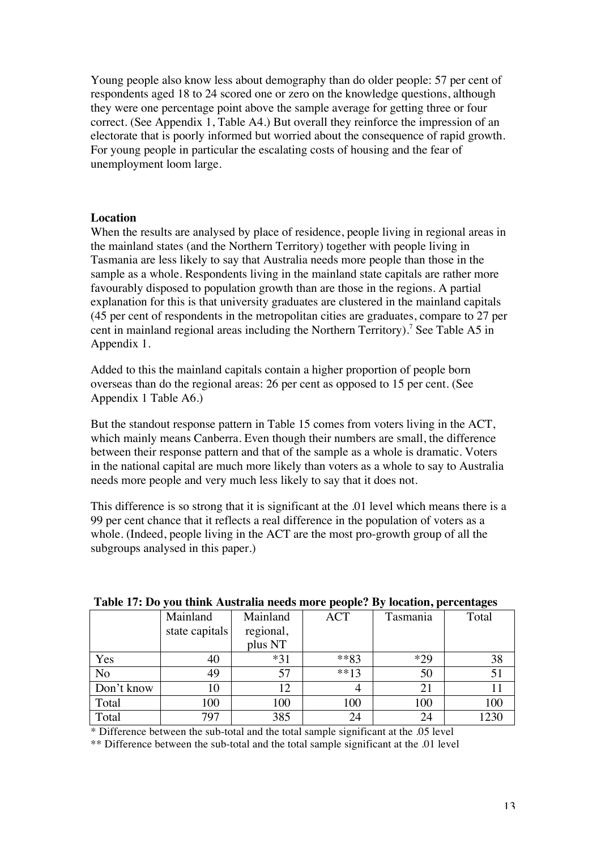Young people also know less about demography than do older people: 57 per cent of respondents aged 18 to 24 scored one or zero on the knowledge questions, although they were one percentage point above the sample average for getting three or four correct. (See Appendix 1, Table A4.) But overall they reinforce the impression of an electorate that is poorly informed but worried about the consequence of rapid growth. For young people in particular the escalating costs of housing and the fear of unemployment loom large.

## **Location**

When the results are analysed by place of residence, people living in regional areas in the mainland states (and the Northern Territory) together with people living in Tasmania are less likely to say that Australia needs more people than those in the sample as a whole. Respondents living in the mainland state capitals are rather more favourably disposed to population growth than are those in the regions. A partial explanation for this is that university graduates are clustered in the mainland capitals (45 per cent of respondents in the metropolitan cities are graduates, compare to 27 per cent in mainland regional areas including the Northern Territory).<sup>7</sup> See Table A5 in Appendix 1.

Added to this the mainland capitals contain a higher proportion of people born overseas than do the regional areas: 26 per cent as opposed to 15 per cent. (See Appendix 1 Table A6.)

But the standout response pattern in Table 15 comes from voters living in the ACT, which mainly means Canberra. Even though their numbers are small, the difference between their response pattern and that of the sample as a whole is dramatic. Voters in the national capital are much more likely than voters as a whole to say to Australia needs more people and very much less likely to say that it does not.

This difference is so strong that it is significant at the .01 level which means there is a 99 per cent chance that it reflects a real difference in the population of voters as a whole. (Indeed, people living in the ACT are the most pro-growth group of all the subgroups analysed in this paper.)

| Table 17: Do you think Australia liceus libre people: Dy location, per centages |                |           |            |          |       |  |  |
|---------------------------------------------------------------------------------|----------------|-----------|------------|----------|-------|--|--|
|                                                                                 | Mainland       | Mainland  | <b>ACT</b> | Tasmania | Total |  |  |
|                                                                                 | state capitals | regional, |            |          |       |  |  |
|                                                                                 |                | plus NT   |            |          |       |  |  |
| Yes                                                                             | 40             | $*31$     | $***83$    | $*29$    | 38    |  |  |
| N <sub>o</sub>                                                                  | 49             | 57        | $**13$     | 50       | 51    |  |  |
| Don't know                                                                      | 10             | 12.       |            |          |       |  |  |
| Total                                                                           | 100            | 100       | 100        | 100      | 100   |  |  |
| Total                                                                           | 797            | 385       | 24         | 24       | 1230  |  |  |

### **Table 17: Do you think Australia needs more people? By location, percentages**

\* Difference between the sub-total and the total sample significant at the .05 level

\*\* Difference between the sub-total and the total sample significant at the .01 level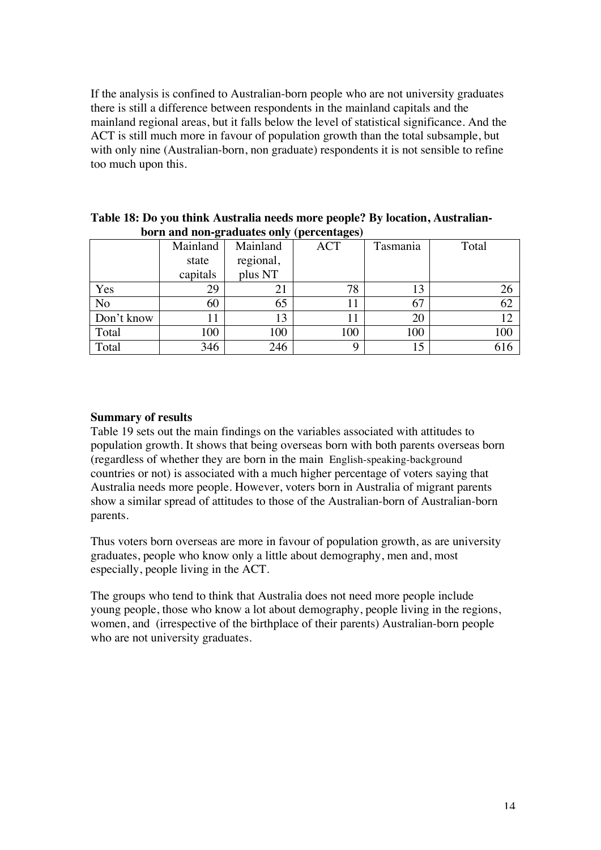If the analysis is confined to Australian-born people who are not university graduates there is still a difference between respondents in the mainland capitals and the mainland regional areas, but it falls below the level of statistical significance. And the ACT is still much more in favour of population growth than the total subsample, but with only nine (Australian-born, non graduate) respondents it is not sensible to refine too much upon this.

|                | Mainland | Mainland  | <b>ACT</b> | Tasmania | Total |
|----------------|----------|-----------|------------|----------|-------|
|                | state    | regional, |            |          |       |
|                | capitals | plus NT   |            |          |       |
| Yes            | 29       |           | 78         | 13       | 26    |
| N <sub>o</sub> | 60       | 65        | 11         | 67       | 62    |
| Don't know     | 11       | 13        |            | 20       | 12    |
| Total          | 100      | 100       | 100        | 100      | 100   |
| Total          | 346      | 246       | Q          |          | 616   |

**Table 18: Do you think Australia needs more people? By location, Australianborn and non-graduates only (percentages)**

# **Summary of results**

Table 19 sets out the main findings on the variables associated with attitudes to population growth. It shows that being overseas born with both parents overseas born (regardless of whether they are born in the main English-speaking-background countries or not) is associated with a much higher percentage of voters saying that Australia needs more people. However, voters born in Australia of migrant parents show a similar spread of attitudes to those of the Australian-born of Australian-born parents.

Thus voters born overseas are more in favour of population growth, as are university graduates, people who know only a little about demography, men and, most especially, people living in the ACT.

The groups who tend to think that Australia does not need more people include young people, those who know a lot about demography, people living in the regions, women, and (irrespective of the birthplace of their parents) Australian-born people who are not university graduates.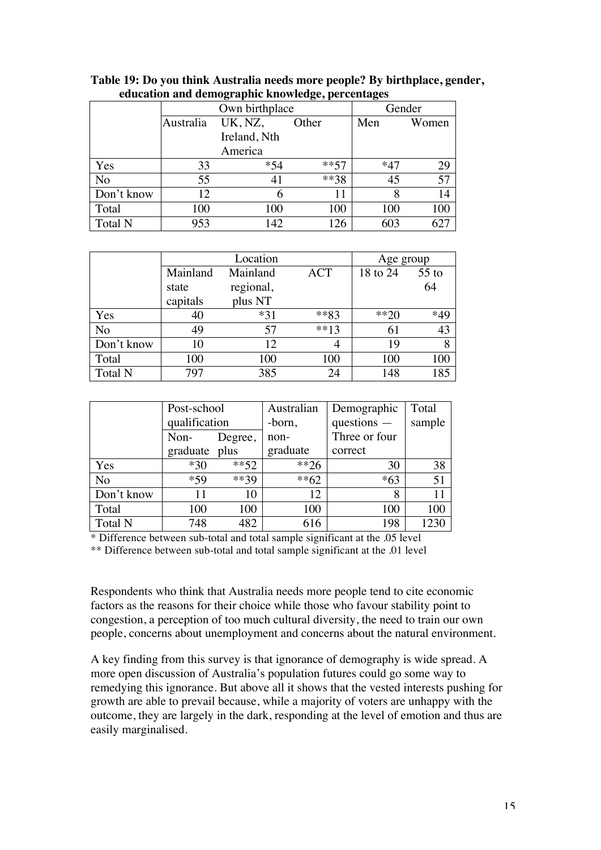|            |           | $\sim$ $\sim$ $\sim$ $\sim$ $\sim$<br>Own birthplace | Gender  |       |       |
|------------|-----------|------------------------------------------------------|---------|-------|-------|
|            | Australia | UK, NZ,                                              | Other   | Men   | Women |
|            |           | Ireland, Nth                                         |         |       |       |
|            |           | America                                              |         |       |       |
| Yes        | 33        | $*54$                                                | $***57$ | $*47$ | 29    |
| No         | 55        | 41                                                   | **38    | 45    | 57    |
| Don't know | 12        |                                                      |         |       | 14    |
| Total      | 100       | 100                                                  | 100     | 100   | 100   |
| Total N    | 953       | 142                                                  | 126     | 603   |       |

**Table 19: Do you think Australia needs more people? By birthplace, gender, education and demographic knowledge, percentages**

|            |          | Location  | Age group  |          |         |
|------------|----------|-----------|------------|----------|---------|
|            | Mainland | Mainland  | <b>ACT</b> | 18 to 24 | $55$ to |
|            | state    | regional, |            |          | 64      |
|            | capitals | plus NT   |            |          |         |
| Yes        | 40       | $*31$     | $***83$    | $**20$   | *49     |
| No         | 49       | 57        | $**13$     | 61       | 43      |
| Don't know | 10       | 12        |            | 19       | 8       |
| Total      | 100      | 100       | 100        | 100      | 100     |
| Total N    | 797      | 385       | 24         | 148      | 185     |

|                | Post-school   |         | Australian | Demographic   | Total  |
|----------------|---------------|---------|------------|---------------|--------|
|                | qualification |         | -born,     | $questions -$ | sample |
|                | Non-          | Degree, | $non-$     | Three or four |        |
|                | graduate plus |         | graduate   | correct       |        |
| Yes            | $*30$         | $***52$ | $**26$     | 30            | 38     |
| N <sub>o</sub> | $*59$         | $***39$ | $**62$     | $*63$         | 51     |
| Don't know     | 11            | 10      | 12         | 8             | 11     |
| Total          | 100           | 100     | 100        | 100           | 100    |
| <b>Total N</b> | 748           | 482     | 616        | 198           | 1230   |

\* Difference between sub-total and total sample significant at the .05 level

\*\* Difference between sub-total and total sample significant at the .01 level

Respondents who think that Australia needs more people tend to cite economic factors as the reasons for their choice while those who favour stability point to congestion, a perception of too much cultural diversity, the need to train our own people, concerns about unemployment and concerns about the natural environment.

A key finding from this survey is that ignorance of demography is wide spread. A more open discussion of Australia's population futures could go some way to remedying this ignorance. But above all it shows that the vested interests pushing for growth are able to prevail because, while a majority of voters are unhappy with the outcome, they are largely in the dark, responding at the level of emotion and thus are easily marginalised.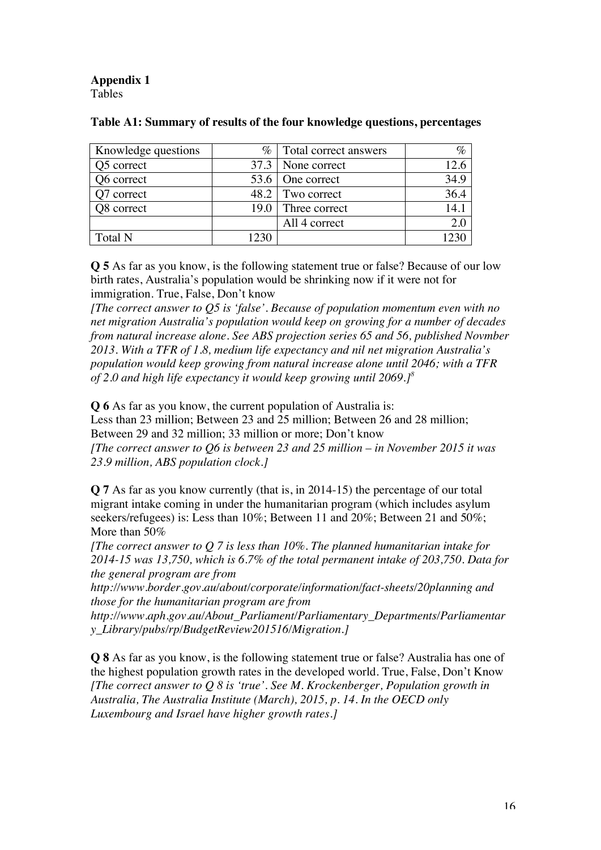**Appendix 1** Tables

| Knowledge questions | $\%$   | Total correct answers | $\%$ |
|---------------------|--------|-----------------------|------|
| Q5 correct          |        | 37.3   None correct   | 12.6 |
| Q6 correct          |        | 53.6   One correct    | 34.9 |
| 7 correct           | 48.2   | Two correct           | 36.4 |
| Q8 correct          | 19.0 I | Three correct         | 14.1 |
|                     |        | All 4 correct         |      |
| <b>Total N</b>      | 230    |                       |      |

# **Table A1: Summary of results of the four knowledge questions, percentages**

**Q 5** As far as you know, is the following statement true or false? Because of our low birth rates, Australia's population would be shrinking now if it were not for immigration. True, False, Don't know

*[The correct answer to Q5 is 'false'. Because of population momentum even with no net migration Australia's population would keep on growing for a number of decades from natural increase alone. See ABS projection series 65 and 56, published Novmber 2013. With a TFR of 1.8, medium life expectancy and nil net migration Australia's population would keep growing from natural increase alone until 2046; with a TFR of 2.0 and high life expectancy it would keep growing until 2069.]<sup>8</sup>*

**Q 6** As far as you know, the current population of Australia is:

Less than 23 million; Between 23 and 25 million; Between 26 and 28 million; Between 29 and 32 million; 33 million or more; Don't know *[The correct answer to Q6 is between 23 and 25 million – in November 2015 it was* 

*23.9 million, ABS population clock.]*

**Q 7** As far as you know currently (that is, in 2014-15) the percentage of our total migrant intake coming in under the humanitarian program (which includes asylum seekers/refugees) is: Less than 10%; Between 11 and 20%; Between 21 and 50%; More than 50%

*[The correct answer to Q 7 is less than 10%. The planned humanitarian intake for 2014-15 was 13,750, which is 6.7% of the total permanent intake of 203,750. Data for the general program are from* 

*http://www.border.gov.au/about/corporate/information/fact-sheets/20planning and those for the humanitarian program are from* 

*http://www.aph.gov.au/About\_Parliament/Parliamentary\_Departments/Parliamentar y\_Library/pubs/rp/BudgetReview201516/Migration.]* 

**Q 8** As far as you know, is the following statement true or false? Australia has one of the highest population growth rates in the developed world. True, False, Don't Know *[The correct answer to Q 8 is 'true'. See M. Krockenberger, Population growth in Australia, The Australia Institute (March), 2015, p. 14. In the OECD only Luxembourg and Israel have higher growth rates.]*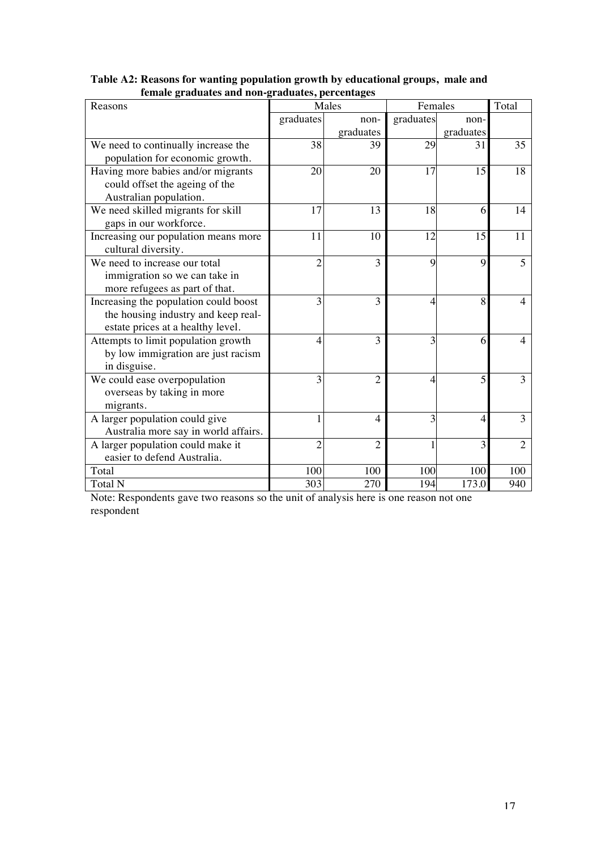| remare graduates and non-graduates, percentages<br>Reasons |                | Males          | Females   |                | Total          |
|------------------------------------------------------------|----------------|----------------|-----------|----------------|----------------|
|                                                            | graduates      | non-           | graduates | non-           |                |
|                                                            |                | graduates      |           | graduates      |                |
| We need to continually increase the                        | 38             | 39             | 29        | 31             | 35             |
| population for economic growth.                            |                |                |           |                |                |
| Having more babies and/or migrants                         | 20             | 20             | 17        | 15             | 18             |
| could offset the ageing of the                             |                |                |           |                |                |
| Australian population.                                     |                |                |           |                |                |
| We need skilled migrants for skill                         | 17             | 13             | 18        | 6              | 14             |
| gaps in our workforce.                                     |                |                |           |                |                |
| Increasing our population means more                       | 11             | 10             | 12        | 15             | 11             |
| cultural diversity.                                        |                |                |           |                |                |
| We need to increase our total                              | $\overline{2}$ | 3              | 9         | 9              | 5              |
| immigration so we can take in                              |                |                |           |                |                |
| more refugees as part of that.                             |                |                |           |                |                |
| Increasing the population could boost                      | 3              | 3              | 4         | 8              | 4              |
| the housing industry and keep real-                        |                |                |           |                |                |
| estate prices at a healthy level.                          |                |                |           |                |                |
| Attempts to limit population growth                        | 4              | 3              | 3         | 6              | 4              |
| by low immigration are just racism                         |                |                |           |                |                |
| in disguise.                                               |                |                |           |                |                |
| We could ease overpopulation                               | $\overline{3}$ | $\overline{2}$ | 4         | 5              | 3              |
| overseas by taking in more                                 |                |                |           |                |                |
| migrants.                                                  |                |                | 3         |                | 3              |
| A larger population could give                             |                | 4              |           | $\overline{4}$ |                |
| Australia more say in world affairs.                       |                | $\overline{2}$ |           | 3              | $\mathfrak{D}$ |
| A larger population could make it                          | $\overline{2}$ |                |           |                |                |
| easier to defend Australia.<br>Total                       |                | 100            | 100       | 100            | 100            |
|                                                            | 100<br>303     | 270            | 194       | 173.0          |                |
| Total N                                                    |                |                |           |                | 940            |

# **Table A2: Reasons for wanting population growth by educational groups, male and female graduates and non-graduates, percentages**

Note: Respondents gave two reasons so the unit of analysis here is one reason not one respondent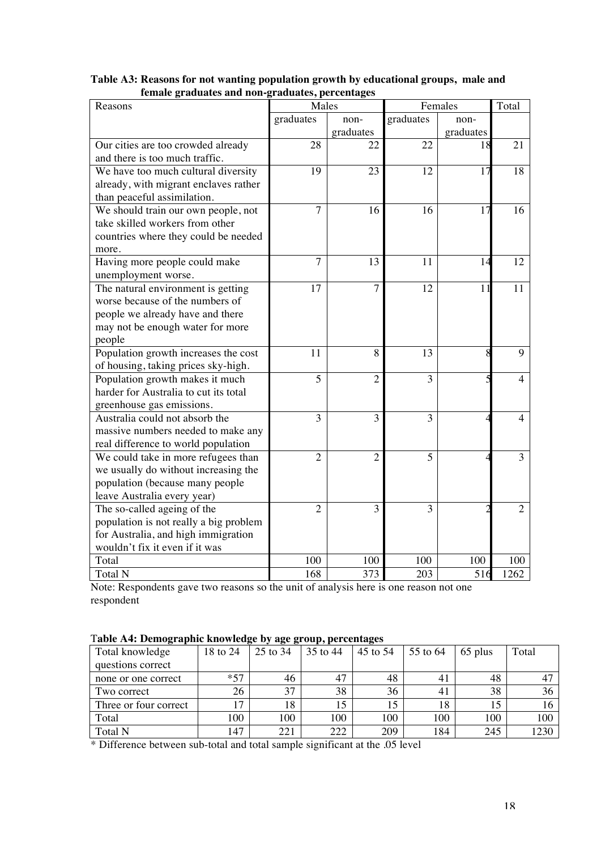| rauuato anu non-<br>Reasons            | Tanaano, percentages<br>Males |                |                | Females   | Total          |
|----------------------------------------|-------------------------------|----------------|----------------|-----------|----------------|
|                                        | graduates                     | non-           | graduates      | non-      |                |
|                                        |                               | graduates      |                | graduates |                |
| Our cities are too crowded already     | 28                            | 22             | 22             | 18        | 21             |
| and there is too much traffic.         |                               |                |                |           |                |
| We have too much cultural diversity    | 19                            | 23             | 12             | 17        | 18             |
| already, with migrant enclaves rather  |                               |                |                |           |                |
| than peaceful assimilation.            |                               |                |                |           |                |
| We should train our own people, not    | $\overline{7}$                | 16             | 16             | 17        | 16             |
| take skilled workers from other        |                               |                |                |           |                |
| countries where they could be needed   |                               |                |                |           |                |
| more.                                  |                               |                |                |           |                |
| Having more people could make          | $\overline{7}$                | 13             | 11             | 14        | 12             |
| unemployment worse.                    |                               |                |                |           |                |
| The natural environment is getting     | 17                            | $\overline{7}$ | 12             | 11        | 11             |
| worse because of the numbers of        |                               |                |                |           |                |
| people we already have and there       |                               |                |                |           |                |
| may not be enough water for more       |                               |                |                |           |                |
| people                                 |                               |                |                |           |                |
| Population growth increases the cost   | 11                            | 8              | 13             | 8         | 9              |
| of housing, taking prices sky-high.    |                               |                |                |           |                |
| Population growth makes it much        | 5                             | $\overline{2}$ | 3              |           | 4              |
| harder for Australia to cut its total  |                               |                |                |           |                |
| greenhouse gas emissions.              |                               |                |                |           |                |
| Australia could not absorb the         | 3                             | 3              | 3              |           | 4              |
| massive numbers needed to make any     |                               |                |                |           |                |
| real difference to world population    |                               |                |                |           |                |
| We could take in more refugees than    | $\overline{2}$                | $\overline{2}$ | $\overline{5}$ |           | $\overline{3}$ |
| we usually do without increasing the   |                               |                |                |           |                |
| population (because many people        |                               |                |                |           |                |
| leave Australia every year)            |                               |                |                |           |                |
| The so-called ageing of the            | $\overline{2}$                | $\overline{3}$ | $\overline{3}$ |           | $\overline{2}$ |
| population is not really a big problem |                               |                |                |           |                |
| for Australia, and high immigration    |                               |                |                |           |                |
| wouldn't fix it even if it was         |                               |                |                |           |                |
| Total                                  | 100                           | 100            | 100            | 100       | 100            |
| Total N                                | 168                           | 373            | 203            | 516       | 1262           |

**Table A3: Reasons for not wanting population growth by educational groups, male and female graduates and non-graduates, percentages**

Note: Respondents gave two reasons so the unit of analysis here is one reason not one respondent

|  | Table A4: Demographic knowledge by age group, percentages |  |  |  |  |
|--|-----------------------------------------------------------|--|--|--|--|
|  |                                                           |  |  |  |  |

| $\sim$ $\sim$         |          | $\bullet$ | .        |          |          |         |       |
|-----------------------|----------|-----------|----------|----------|----------|---------|-------|
| Total knowledge       | 18 to 24 | 25 to 34  | 35 to 44 | 45 to 54 | 55 to 64 | 65 plus | Total |
| questions correct     |          |           |          |          |          |         |       |
| none or one correct   | $*57$    | 46        | 47       | 48       | 41       | 48      |       |
| Two correct           | 26       | 37        | 38       | 36       | 41       | 38      | 36    |
| Three or four correct | 17       | 18        | 15       |          | 18       |         | 16    |
| Total                 | 100      | 100       | 100      | 100      | 100      | 100     | 100   |
| <b>Total N</b>        | 147      | 221       | 222      | 209      | 184      | 245     | 1230  |

\* Difference between sub-total and total sample significant at the .05 level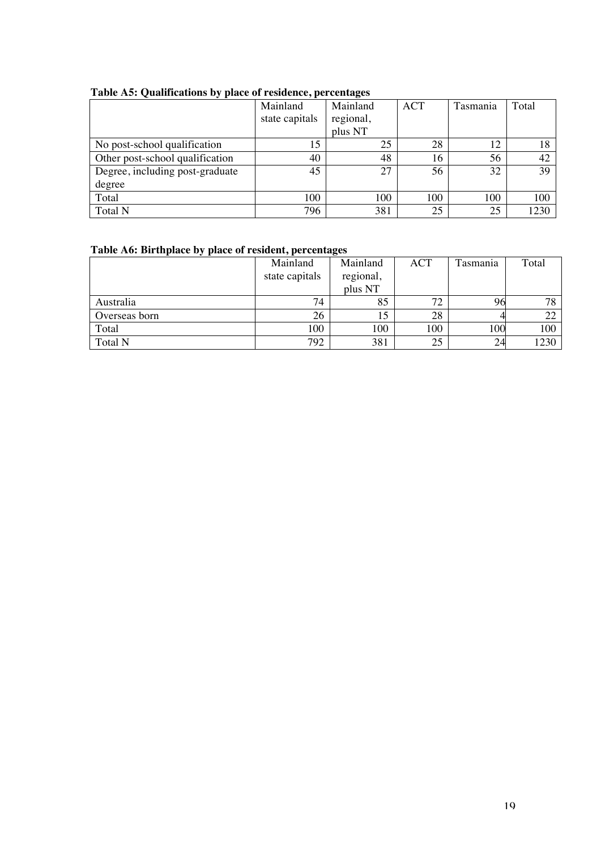|                                 | Mainland       | Mainland  | <b>ACT</b> | Tasmania | Total |
|---------------------------------|----------------|-----------|------------|----------|-------|
|                                 | state capitals | regional, |            |          |       |
|                                 |                | plus NT   |            |          |       |
| No post-school qualification    | 15             | 25        | 28         | 12       | 18    |
| Other post-school qualification | 40             | 48        | 16         | 56       | 42    |
| Degree, including post-graduate | 45             | 27        | 56         | 32       | 39    |
| degree                          |                |           |            |          |       |
| Total                           | 100            | 100       | 100        | 100      | 100   |
| Total N                         | 796            | 381       | 25         | 25       | 1230  |

#### **Table A5: Qualifications by place of residence, percentages**

# **Table A6: Birthplace by place of resident, percentages**

|               | Mainland       | Mainland  | <b>ACT</b> | Tasmania | Total |
|---------------|----------------|-----------|------------|----------|-------|
|               | state capitals | regional, |            |          |       |
|               |                | plus NT   |            |          |       |
| Australia     | 74             | 85        | 72         | 96       | 78    |
| Overseas born | 26             | 15        | 28         |          |       |
| Total         | 100            | 100       | 100        | 100      | 100   |
| Total N       | 792            | 381       | 25         | 24       | 1230  |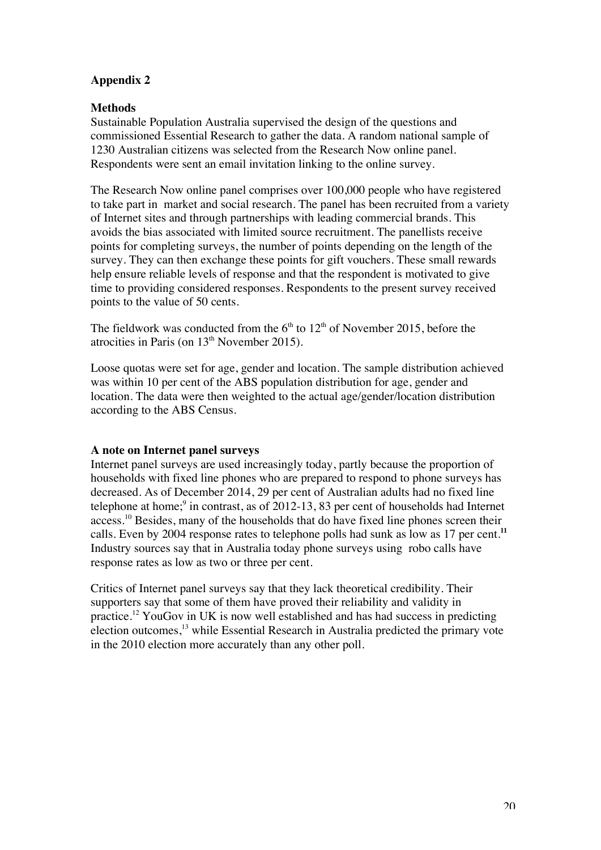# **Appendix 2**

# **Methods**

Sustainable Population Australia supervised the design of the questions and commissioned Essential Research to gather the data. A random national sample of 1230 Australian citizens was selected from the Research Now online panel. Respondents were sent an email invitation linking to the online survey.

The Research Now online panel comprises over 100,000 people who have registered to take part in market and social research. The panel has been recruited from a variety of Internet sites and through partnerships with leading commercial brands. This avoids the bias associated with limited source recruitment. The panellists receive points for completing surveys, the number of points depending on the length of the survey. They can then exchange these points for gift vouchers. These small rewards help ensure reliable levels of response and that the respondent is motivated to give time to providing considered responses. Respondents to the present survey received points to the value of 50 cents.

The fieldwork was conducted from the  $6<sup>th</sup>$  to  $12<sup>th</sup>$  of November 2015, before the atrocities in Paris (on  $13<sup>th</sup>$  November 2015).

Loose quotas were set for age, gender and location. The sample distribution achieved was within 10 per cent of the ABS population distribution for age, gender and location. The data were then weighted to the actual age/gender/location distribution according to the ABS Census.

## **A note on Internet panel surveys**

Internet panel surveys are used increasingly today, partly because the proportion of households with fixed line phones who are prepared to respond to phone surveys has decreased. As of December 2014, 29 per cent of Australian adults had no fixed line telephone at home;<sup>9</sup> in contrast, as of 2012-13, 83 per cent of households had Internet access.10 Besides, many of the households that do have fixed line phones screen their calls. Even by 2004 response rates to telephone polls had sunk as low as 17 per cent.**<sup>11</sup>** Industry sources say that in Australia today phone surveys using robo calls have response rates as low as two or three per cent.

Critics of Internet panel surveys say that they lack theoretical credibility. Their supporters say that some of them have proved their reliability and validity in practice.<sup>12</sup> YouGov in UK is now well established and has had success in predicting election outcomes,<sup>13</sup> while Essential Research in Australia predicted the primary vote in the 2010 election more accurately than any other poll.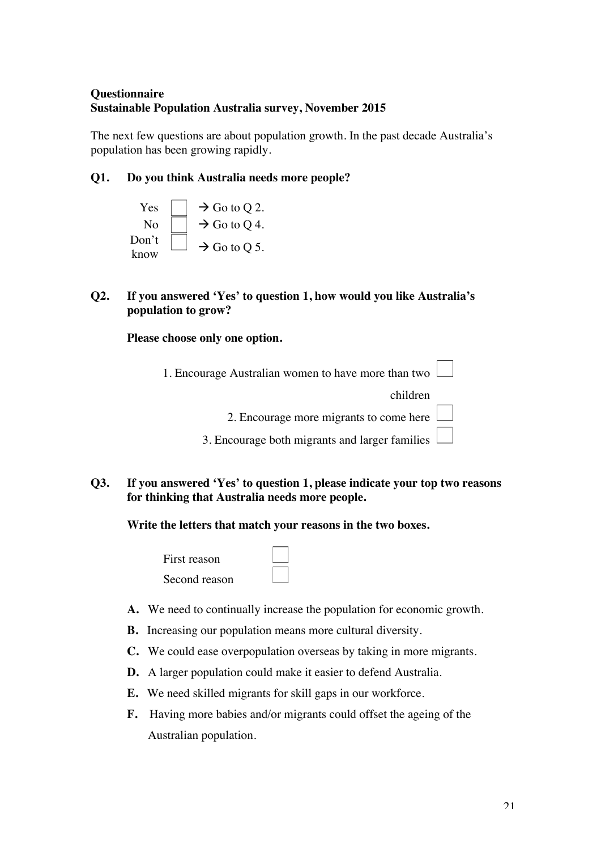# **Questionnaire Sustainable Population Australia survey, November 2015**

The next few questions are about population growth. In the past decade Australia's population has been growing rapidly.

# **Q1. Do you think Australia needs more people?**

- Yes  $\vert \quad \vert \rightarrow$  Go to O 2. No  $\vert \vert \rightarrow$  Go to Q 4. Don't  $\lim_{k \to \infty}$   $\Box$   $\rightarrow$  Go to Q 5.
- **Q2. If you answered 'Yes' to question 1, how would you like Australia's population to grow?**

**Please choose only one option.** 

1. Encourage Australian women to have more than two

children

2. Encourage more migrants to come here

3. Encourage both migrants and larger families

# **Q3. If you answered 'Yes' to question 1, please indicate your top two reasons for thinking that Australia needs more people.**

**Write the letters that match your reasons in the two boxes.** 

First reason Second reason



- **A.** We need to continually increase the population for economic growth.
- **B.** Increasing our population means more cultural diversity.
- **C.** We could ease overpopulation overseas by taking in more migrants.
- **D.** A larger population could make it easier to defend Australia.
- **E.** We need skilled migrants for skill gaps in our workforce.
- **F.** Having more babies and/or migrants could offset the ageing of the Australian population.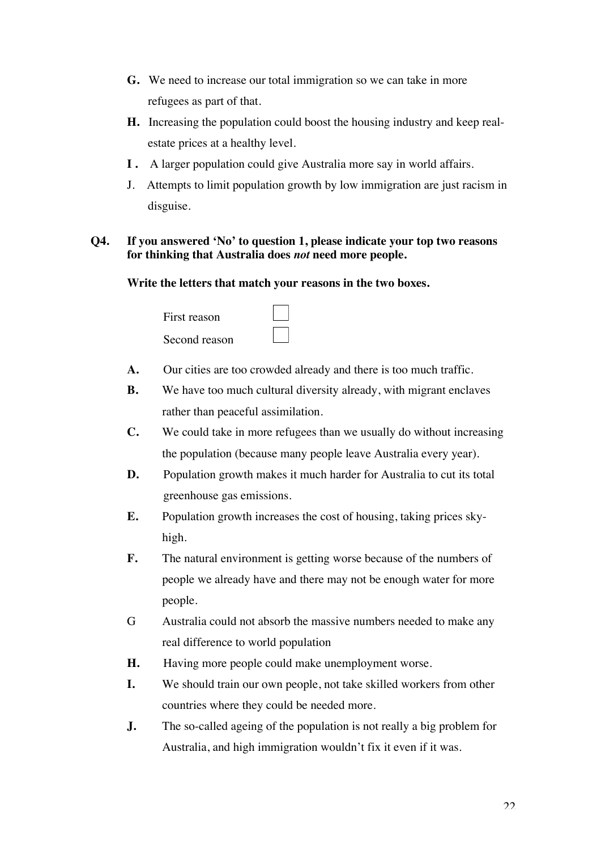- **G.** We need to increase our total immigration so we can take in more refugees as part of that.
- **H.** Increasing the population could boost the housing industry and keep realestate prices at a healthy level.
- **I .** A larger population could give Australia more say in world affairs.
- J. Attempts to limit population growth by low immigration are just racism in disguise.

# **Q4. If you answered 'No' to question 1, please indicate your top two reasons for thinking that Australia does** *not* **need more people.**

**Write the letters that match your reasons in the two boxes.** 

| First reason  |  |
|---------------|--|
| Second reason |  |

- **A.** Our cities are too crowded already and there is too much traffic.
- **B.** We have too much cultural diversity already, with migrant enclaves rather than peaceful assimilation.
- **C.** We could take in more refugees than we usually do without increasing the population (because many people leave Australia every year).
- **D.** Population growth makes it much harder for Australia to cut its total greenhouse gas emissions.
- **E.** Population growth increases the cost of housing, taking prices skyhigh.
- **F.** The natural environment is getting worse because of the numbers of people we already have and there may not be enough water for more people.
- G Australia could not absorb the massive numbers needed to make any real difference to world population
- **H.** Having more people could make unemployment worse.
- **I.** We should train our own people, not take skilled workers from other countries where they could be needed more.
- **J.** The so-called ageing of the population is not really a big problem for Australia, and high immigration wouldn't fix it even if it was.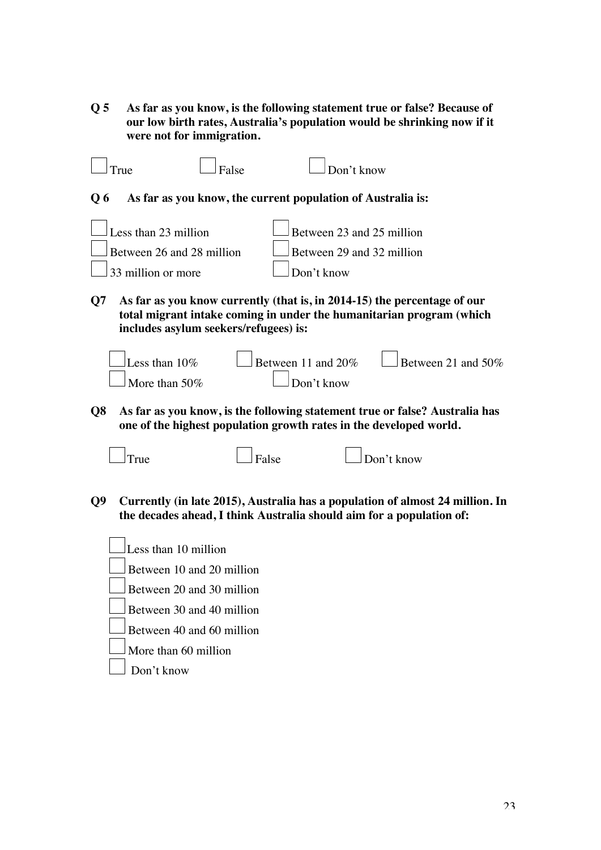**Q 5 As far as you know, is the following statement true or false? Because of our low birth rates, Australia's population would be shrinking now if it were not for immigration.**

True False Don't know **Q 6 As far as you know, the current population of Australia is:** Less than 23 million  $\Box$  Between 23 and 25 million Between 26 and 28 million  $B$  Between 29 and 32 million 33 million or more  $\Box$  Don't know **Q7 As far as you know currently (that is, in 2014-15) the percentage of our total migrant intake coming in under the humanitarian program (which includes asylum seekers/refugees) is:** Less than  $10\%$  Between 11 and  $20\%$  Between 21 and  $50\%$ More than  $50\%$  Don't know

**Q8 As far as you know, is the following statement true or false? Australia has one of the highest population growth rates in the developed world.**



- **Q9 Currently (in late 2015), Australia has a population of almost 24 million. In the decades ahead, I think Australia should aim for a population of:**
	- Less than 10 million
	- Between 10 and 20 million
	- Between 20 and 30 million
	- Between 30 and 40 million
	- Between 40 and 60 million
	- More than 60 million
	- Don't know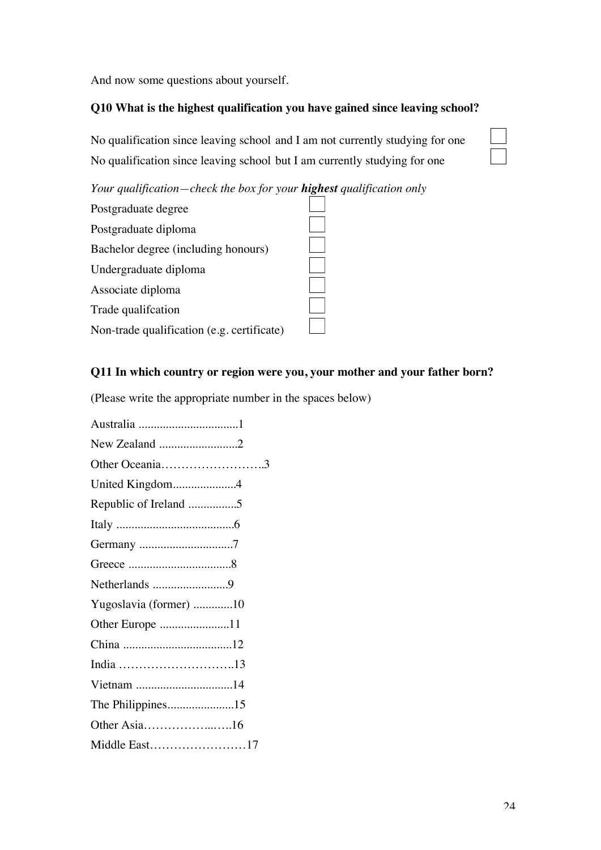And now some questions about yourself.

# **Q10 What is the highest qualification you have gained since leaving school?**

No qualification since leaving school and I am not currently studying for one No qualification since leaving school but I am currently studying for one

*Your qualification—check the box for your highest qualification only*



# **Q11 In which country or region were you, your mother and your father born?**

(Please write the appropriate number in the spaces below)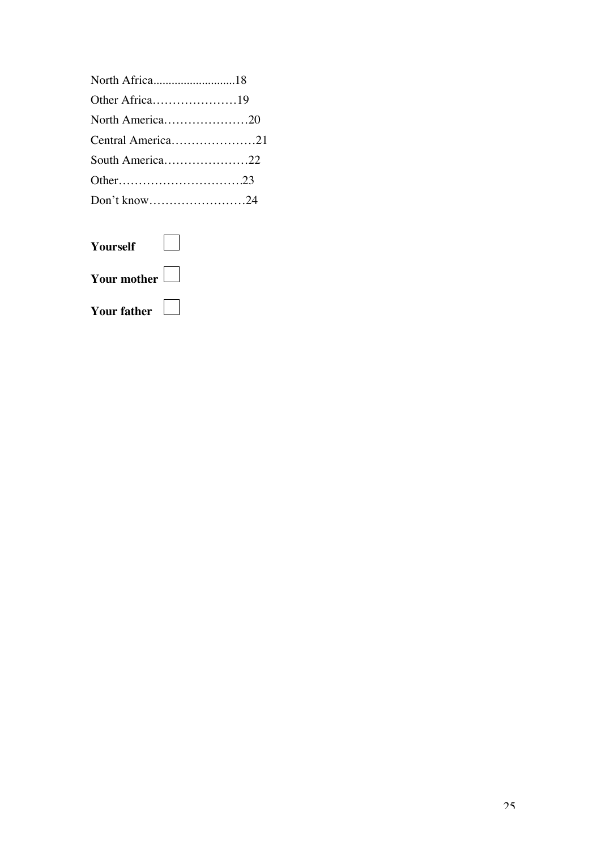| North Africa18    |  |
|-------------------|--|
| Other Africa19    |  |
| North America20   |  |
| Central America21 |  |
| South America22   |  |
|                   |  |
| Don't know24      |  |
|                   |  |

| Yourself           |  |
|--------------------|--|
| Your mother        |  |
| <b>Your father</b> |  |